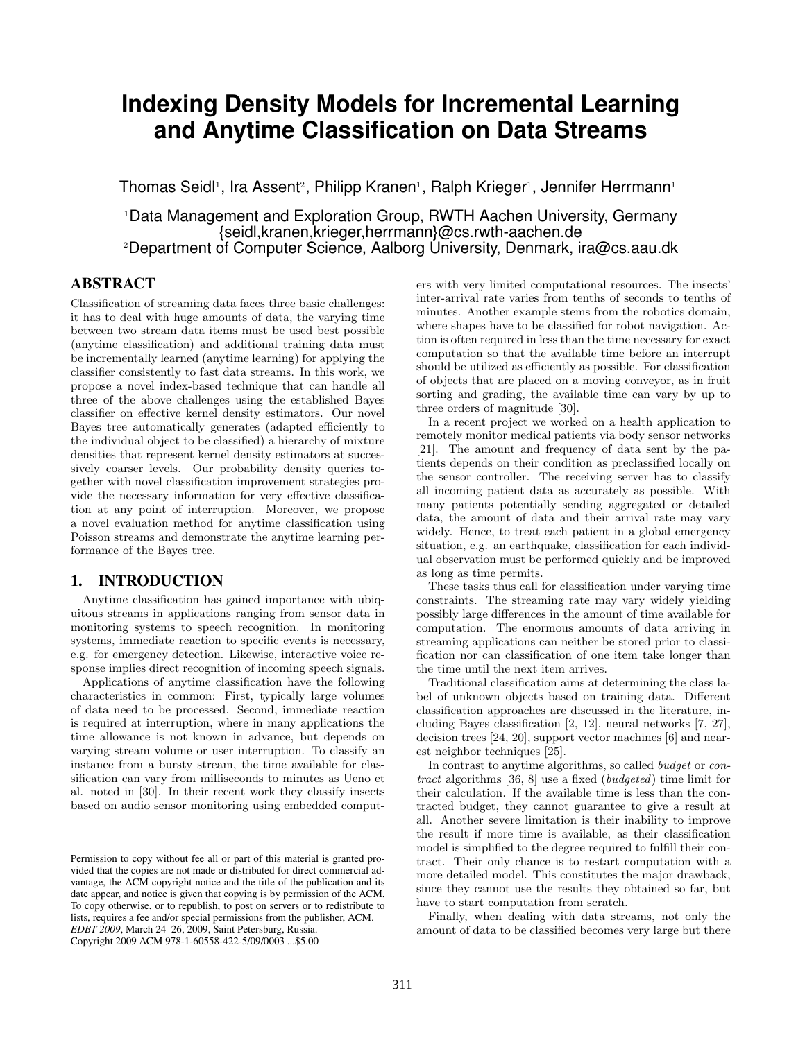# **Indexing Density Models for Incremental Learning and Anytime Classification on Data Streams**

Thomas Seidl<sup>1</sup>, Ira Assent<sup>2</sup>, Philipp Kranen<sup>1</sup>, Ralph Krieger<sup>1</sup>, Jennifer Herrmann<sup>1</sup>

<sup>1</sup>Data Management and Exploration Group, RWTH Aachen University, Germany {seidl,kranen,krieger,herrmann}@cs.rwth-aachen.de <sup>2</sup>Department of Computer Science, Aalborg University, Denmark, ira@cs.aau.dk

# ABSTRACT

Classification of streaming data faces three basic challenges: it has to deal with huge amounts of data, the varying time between two stream data items must be used best possible (anytime classification) and additional training data must be incrementally learned (anytime learning) for applying the classifier consistently to fast data streams. In this work, we propose a novel index-based technique that can handle all three of the above challenges using the established Bayes classifier on effective kernel density estimators. Our novel Bayes tree automatically generates (adapted efficiently to the individual object to be classified) a hierarchy of mixture densities that represent kernel density estimators at successively coarser levels. Our probability density queries together with novel classification improvement strategies provide the necessary information for very effective classification at any point of interruption. Moreover, we propose a novel evaluation method for anytime classification using Poisson streams and demonstrate the anytime learning performance of the Bayes tree.

## 1. INTRODUCTION

Anytime classification has gained importance with ubiquitous streams in applications ranging from sensor data in monitoring systems to speech recognition. In monitoring systems, immediate reaction to specific events is necessary, e.g. for emergency detection. Likewise, interactive voice response implies direct recognition of incoming speech signals.

Applications of anytime classification have the following characteristics in common: First, typically large volumes of data need to be processed. Second, immediate reaction is required at interruption, where in many applications the time allowance is not known in advance, but depends on varying stream volume or user interruption. To classify an instance from a bursty stream, the time available for classification can vary from milliseconds to minutes as Ueno et al. noted in [30]. In their recent work they classify insects based on audio sensor monitoring using embedded computers with very limited computational resources. The insects' inter-arrival rate varies from tenths of seconds to tenths of minutes. Another example stems from the robotics domain, where shapes have to be classified for robot navigation. Action is often required in less than the time necessary for exact computation so that the available time before an interrupt should be utilized as efficiently as possible. For classification of objects that are placed on a moving conveyor, as in fruit sorting and grading, the available time can vary by up to three orders of magnitude [30].

In a recent project we worked on a health application to remotely monitor medical patients via body sensor networks [21]. The amount and frequency of data sent by the patients depends on their condition as preclassified locally on the sensor controller. The receiving server has to classify all incoming patient data as accurately as possible. With many patients potentially sending aggregated or detailed data, the amount of data and their arrival rate may vary widely. Hence, to treat each patient in a global emergency situation, e.g. an earthquake, classification for each individual observation must be performed quickly and be improved as long as time permits.

These tasks thus call for classification under varying time constraints. The streaming rate may vary widely yielding possibly large differences in the amount of time available for computation. The enormous amounts of data arriving in streaming applications can neither be stored prior to classification nor can classification of one item take longer than the time until the next item arrives.

Traditional classification aims at determining the class label of unknown objects based on training data. Different classification approaches are discussed in the literature, including Bayes classification [2, 12], neural networks [7, 27], decision trees [24, 20], support vector machines [6] and nearest neighbor techniques [25].

In contrast to anytime algorithms, so called budget or contract algorithms [36, 8] use a fixed (budgeted) time limit for their calculation. If the available time is less than the contracted budget, they cannot guarantee to give a result at all. Another severe limitation is their inability to improve the result if more time is available, as their classification model is simplified to the degree required to fulfill their contract. Their only chance is to restart computation with a more detailed model. This constitutes the major drawback, since they cannot use the results they obtained so far, but have to start computation from scratch.

Finally, when dealing with data streams, not only the amount of data to be classified becomes very large but there

Permission to copy without fee all or part of this material is granted provided that the copies are not made or distributed for direct commercial advantage, the ACM copyright notice and the title of the publication and its date appear, and notice is given that copying is by permission of the ACM. To copy otherwise, or to republish, to post on servers or to redistribute to lists, requires a fee and/or special permissions from the publisher, ACM. *EDBT 2009*, March 24–26, 2009, Saint Petersburg, Russia. Copyright 2009 ACM 978-1-60558-422-5/09/0003 ...\$5.00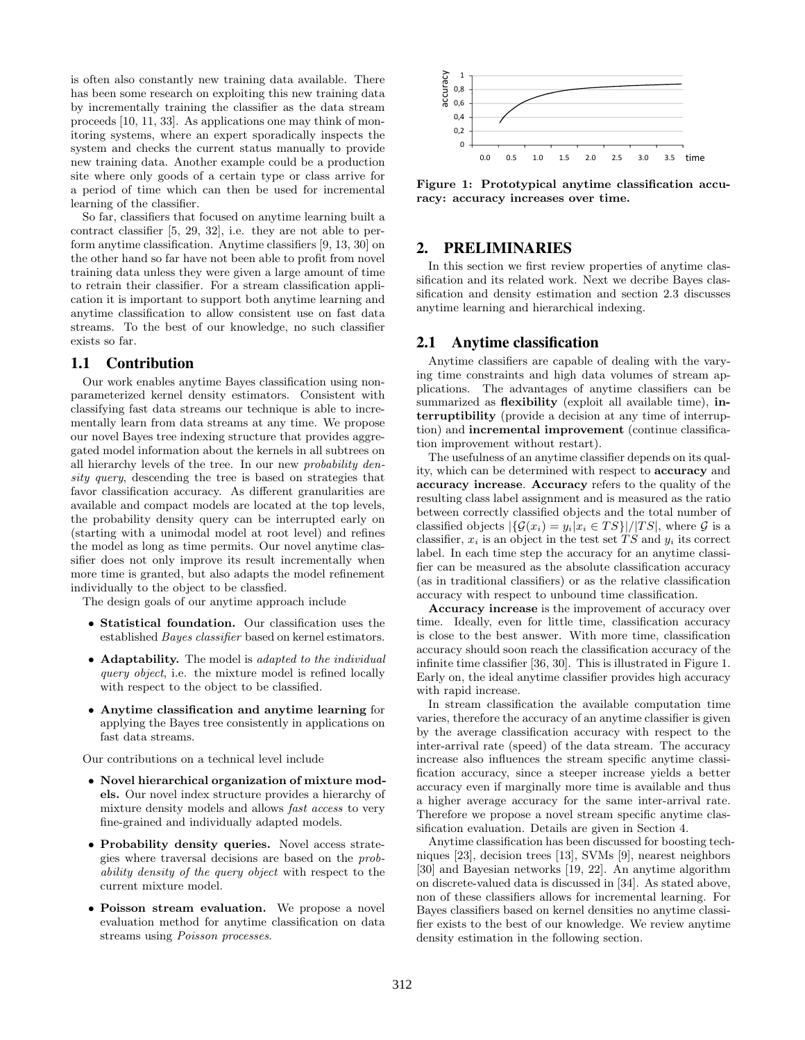is often also constantly new training data available. There has been some research on exploiting this new training data by incrementally training the classifier as the data stream proceeds [10, 11, 33]. As applications one may think of monitoring systems, where an expert sporadically inspects the system and checks the current status manually to provide new training data. Another example could be a production site where only goods of a certain type or class arrive for a period of time which can then be used for incremental learning of the classifier.

So far, classifiers that focused on anytime learning built a contract classifier [5, 29, 32], i.e. they are not able to perform anytime classification. Anytime classifiers [9, 13, 30] on the other hand so far have not been able to profit from novel training data unless they were given a large amount of time to retrain their classifier. For a stream classification application it is important to support both anytime learning and anytime classification to allow consistent use on fast data streams. To the best of our knowledge, no such classifier exists so far.

## 1.1 Contribution

Our work enables anytime Bayes classification using nonparameterized kernel density estimators. Consistent with classifying fast data streams our technique is able to incrementally learn from data streams at any time. We propose our novel Bayes tree indexing structure that provides aggregated model information about the kernels in all subtrees on all hierarchy levels of the tree. In our new probability density query, descending the tree is based on strategies that favor classification accuracy. As different granularities are available and compact models are located at the top levels, the probability density query can be interrupted early on (starting with a unimodal model at root level) and refines the model as long as time permits. Our novel anytime classifier does not only improve its result incrementally when more time is granted, but also adapts the model refinement individually to the object to be classfied.

The design goals of our anytime approach include

- Statistical foundation. Our classification uses the established Bayes classifier based on kernel estimators.
- Adaptability. The model is *adapted to the individual* query object, i.e. the mixture model is refined locally with respect to the object to be classified.
- Anytime classification and anytime learning for applying the Bayes tree consistently in applications on fast data streams.

Our contributions on a technical level include

- Novel hierarchical organization of mixture models. Our novel index structure provides a hierarchy of mixture density models and allows fast access to very fine-grained and individually adapted models.
- Probability density queries. Novel access strategies where traversal decisions are based on the probability density of the query object with respect to the current mixture model.
- Poisson stream evaluation. We propose a novel evaluation method for anytime classification on data streams using Poisson processes.



Figure 1: Prototypical anytime classification accuracy: accuracy increases over time.

# 2. PRELIMINARIES

In this section we first review properties of anytime classification and its related work. Next we decribe Bayes classification and density estimation and section 2.3 discusses anytime learning and hierarchical indexing.

## 2.1 Anytime classification

Anytime classifiers are capable of dealing with the varying time constraints and high data volumes of stream applications. The advantages of anytime classifiers can be summarized as **flexibility** (exploit all available time), interruptibility (provide a decision at any time of interruption) and incremental improvement (continue classification improvement without restart).

The usefulness of an anytime classifier depends on its quality, which can be determined with respect to accuracy and accuracy increase. Accuracy refers to the quality of the resulting class label assignment and is measured as the ratio between correctly classified objects and the total number of classified objects  $|\{\mathcal{G}(x_i) = y_i | x_i \in TS\}|/|TS|$ , where  $\mathcal G$  is a classifier,  $x_i$  is an object in the test set TS and  $y_i$  its correct label. In each time step the accuracy for an anytime classifier can be measured as the absolute classification accuracy (as in traditional classifiers) or as the relative classification accuracy with respect to unbound time classification.

Accuracy increase is the improvement of accuracy over time. Ideally, even for little time, classification accuracy is close to the best answer. With more time, classification accuracy should soon reach the classification accuracy of the infinite time classifier [36, 30]. This is illustrated in Figure 1. Early on, the ideal anytime classifier provides high accuracy with rapid increase.

In stream classification the available computation time varies, therefore the accuracy of an anytime classifier is given by the average classification accuracy with respect to the inter-arrival rate (speed) of the data stream. The accuracy increase also influences the stream specific anytime classification accuracy, since a steeper increase yields a better accuracy even if marginally more time is available and thus a higher average accuracy for the same inter-arrival rate. Therefore we propose a novel stream specific anytime classification evaluation. Details are given in Section 4.

Anytime classification has been discussed for boosting techniques [23], decision trees [13], SVMs [9], nearest neighbors [30] and Bayesian networks [19, 22]. An anytime algorithm on discrete-valued data is discussed in [34]. As stated above, non of these classifiers allows for incremental learning. For Bayes classifiers based on kernel densities no anytime classifier exists to the best of our knowledge. We review anytime density estimation in the following section.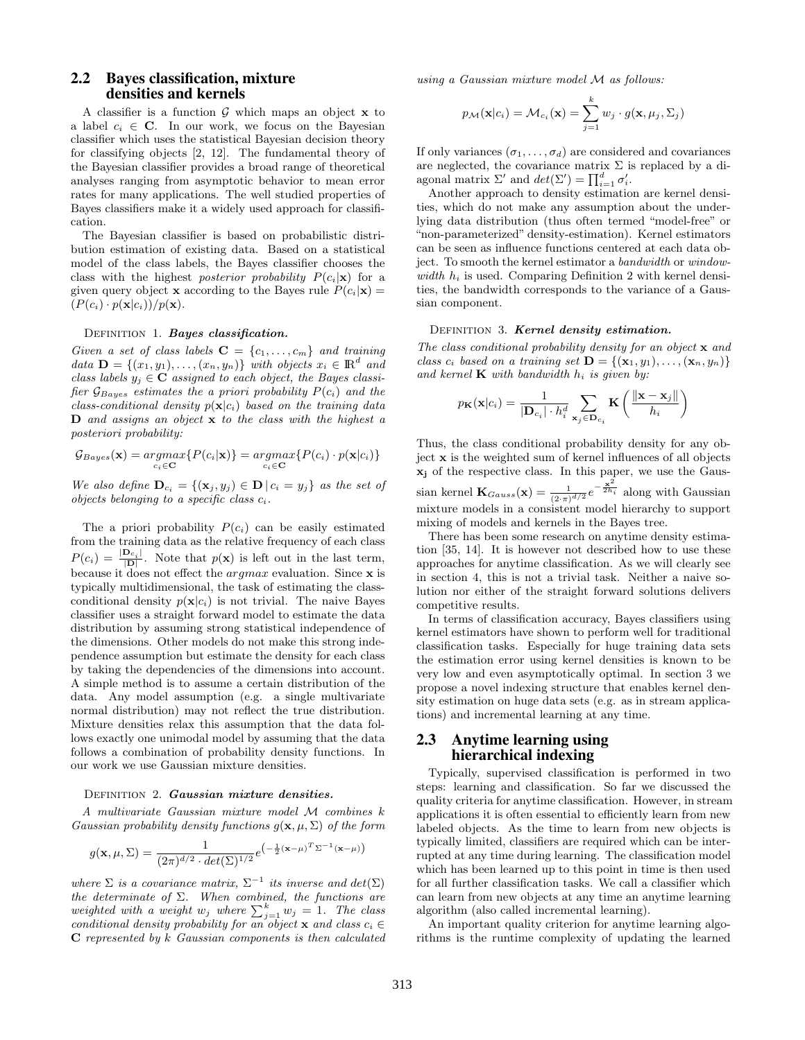## 2.2 Bayes classification, mixture densities and kernels

A classifier is a function  $\mathcal G$  which maps an object  $\mathbf x$  to a label  $c_i \in \mathbb{C}$ . In our work, we focus on the Bayesian classifier which uses the statistical Bayesian decision theory for classifying objects [2, 12]. The fundamental theory of the Bayesian classifier provides a broad range of theoretical analyses ranging from asymptotic behavior to mean error rates for many applications. The well studied properties of Bayes classifiers make it a widely used approach for classification.

The Bayesian classifier is based on probabilistic distribution estimation of existing data. Based on a statistical model of the class labels, the Bayes classifier chooses the class with the highest posterior probability  $P(c_i|\mathbf{x})$  for a given query object **x** according to the Bayes rule  $P(c_i|\mathbf{x}) =$  $(P(c_i) \cdot p(\mathbf{x}|c_i))/p(\mathbf{x}).$ 

## DEFINITION 1. Bayes classification.

Given a set of class labels  $\mathbf{C} = \{c_1, \ldots, c_m\}$  and training data  $\mathbf{D} = \{(x_1, y_1), \ldots, (x_n, y_n)\}\$  with objects  $x_i \in \mathbb{R}^d$  and class labels  $y_j \in \mathbf{C}$  assigned to each object, the Bayes classifier  $\mathcal{G}_{Bayes}$  estimates the a priori probability  $P(c_i)$  and the class-conditional density  $p(\mathbf{x}|c_i)$  based on the training data  $\bf{D}$  and assigns an object  $\bf{x}$  to the class with the highest a posteriori probability:

$$
\mathcal{G}_{Bayes}(\mathbf{x}) = \underset{c_i \in \mathbf{C}}{argmax} \{ P(c_i | \mathbf{x}) \} = \underset{c_i \in \mathbf{C}}{argmax} \{ P(c_i) \cdot p(\mathbf{x} | c_i) \}
$$

We also define  $\mathbf{D}_{c_i} = \{(\mathbf{x}_j, y_j) \in \mathbf{D} \mid c_i = y_j\}$  as the set of objects belonging to a specific class  $c_i$ .

The a priori probability  $P(c_i)$  can be easily estimated from the training data as the relative frequency of each class  $P(c_i) = \frac{|\mathbf{D}_{c_i}|}{|\mathbf{D}|}$  $\frac{Dc_{i\perp}}{|\mathbf{D}|}$ . Note that  $p(\mathbf{x})$  is left out in the last term, because it does not effect the *argmax* evaluation. Since  $x$  is typically multidimensional, the task of estimating the classconditional density  $p(\mathbf{x}|c_i)$  is not trivial. The naive Bayes classifier uses a straight forward model to estimate the data distribution by assuming strong statistical independence of the dimensions. Other models do not make this strong independence assumption but estimate the density for each class by taking the dependencies of the dimensions into account. A simple method is to assume a certain distribution of the data. Any model assumption (e.g. a single multivariate normal distribution) may not reflect the true distribution. Mixture densities relax this assumption that the data follows exactly one unimodal model by assuming that the data follows a combination of probability density functions. In our work we use Gaussian mixture densities.

#### DEFINITION 2. Gaussian mixture densities.

A multivariate Gaussian mixture model M combines k Gaussian probability density functions  $q(\mathbf{x}, \mu, \Sigma)$  of the form

$$
g(\mathbf{x}, \mu, \Sigma) = \frac{1}{(2\pi)^{d/2} \cdot det(\Sigma)^{1/2}} e^{-\frac{1}{2}(\mathbf{x} - \mu)^{T} \Sigma^{-1}(\mathbf{x} - \mu))}
$$

where  $\Sigma$  is a covariance matrix,  $\Sigma^{-1}$  its inverse and  $det(\Sigma)$ the determinate of  $\Sigma$ . When combined, the functions are weighted with a weight  $w_j$  where  $\sum_{j=1}^k w_j = 1$ . The class conditional density probability for an object **x** and class  $c_i \in$  $C$  represented by  $k$  Gaussian components is then calculated using a Gaussian mixture model M as follows:

$$
p_{\mathcal{M}}(\mathbf{x}|c_i) = \mathcal{M}_{c_i}(\mathbf{x}) = \sum_{j=1}^k w_j \cdot g(\mathbf{x}, \mu_j, \Sigma_j)
$$

If only variances  $(\sigma_1, \ldots, \sigma_d)$  are considered and covariances are neglected, the covariance matrix  $\Sigma$  is replaced by a diagonal matrix  $\Sigma'$  and  $det(\Sigma') = \prod_{i=1}^d \sigma'_i$ .

Another approach to density estimation are kernel densities, which do not make any assumption about the underlying data distribution (thus often termed "model-free" or "non-parameterized" density-estimation). Kernel estimators can be seen as influence functions centered at each data object. To smooth the kernel estimator a bandwidth or windowwidth  $h_i$  is used. Comparing Definition 2 with kernel densities, the bandwidth corresponds to the variance of a Gaussian component.

#### DEFINITION 3. Kernel density estimation.

The class conditional probability density for an object  $x$  and class  $c_i$  based on a training set  $\mathbf{D} = \{(\mathbf{x}_1, y_1), \ldots, (\mathbf{x}_n, y_n)\}$ and kernel  $\bf{K}$  with bandwidth  $h_i$  is given by:

$$
p_{\mathbf{K}}(\mathbf{x}|c_i) = \frac{1}{|\mathbf{D}_{c_i}| \cdot h_i^d} \sum_{\mathbf{x}_j \in \mathbf{D}_{c_i}} \mathbf{K}\left(\frac{\|\mathbf{x} - \mathbf{x}_j\|}{h_i}\right)
$$

Thus, the class conditional probability density for any object x is the weighted sum of kernel influences of all objects x<sup>j</sup> of the respective class. In this paper, we use the Gaussian kernel  $\mathbf{K}_{Gauss}(\mathbf{x}) = \frac{1}{(2\pi)^{d/2}}e^{-\frac{\mathbf{x}^2}{2h_i}}$  along with Gaussian mixture models in a consistent model hierarchy to support mixing of models and kernels in the Bayes tree.

There has been some research on anytime density estimation [35, 14]. It is however not described how to use these approaches for anytime classification. As we will clearly see in section 4, this is not a trivial task. Neither a naive solution nor either of the straight forward solutions delivers competitive results.

In terms of classification accuracy, Bayes classifiers using kernel estimators have shown to perform well for traditional classification tasks. Especially for huge training data sets the estimation error using kernel densities is known to be very low and even asymptotically optimal. In section 3 we propose a novel indexing structure that enables kernel density estimation on huge data sets (e.g. as in stream applications) and incremental learning at any time.

## 2.3 Anytime learning using hierarchical indexing

Typically, supervised classification is performed in two steps: learning and classification. So far we discussed the quality criteria for anytime classification. However, in stream applications it is often essential to efficiently learn from new labeled objects. As the time to learn from new objects is typically limited, classifiers are required which can be interrupted at any time during learning. The classification model which has been learned up to this point in time is then used for all further classification tasks. We call a classifier which can learn from new objects at any time an anytime learning algorithm (also called incremental learning).

An important quality criterion for anytime learning algorithms is the runtime complexity of updating the learned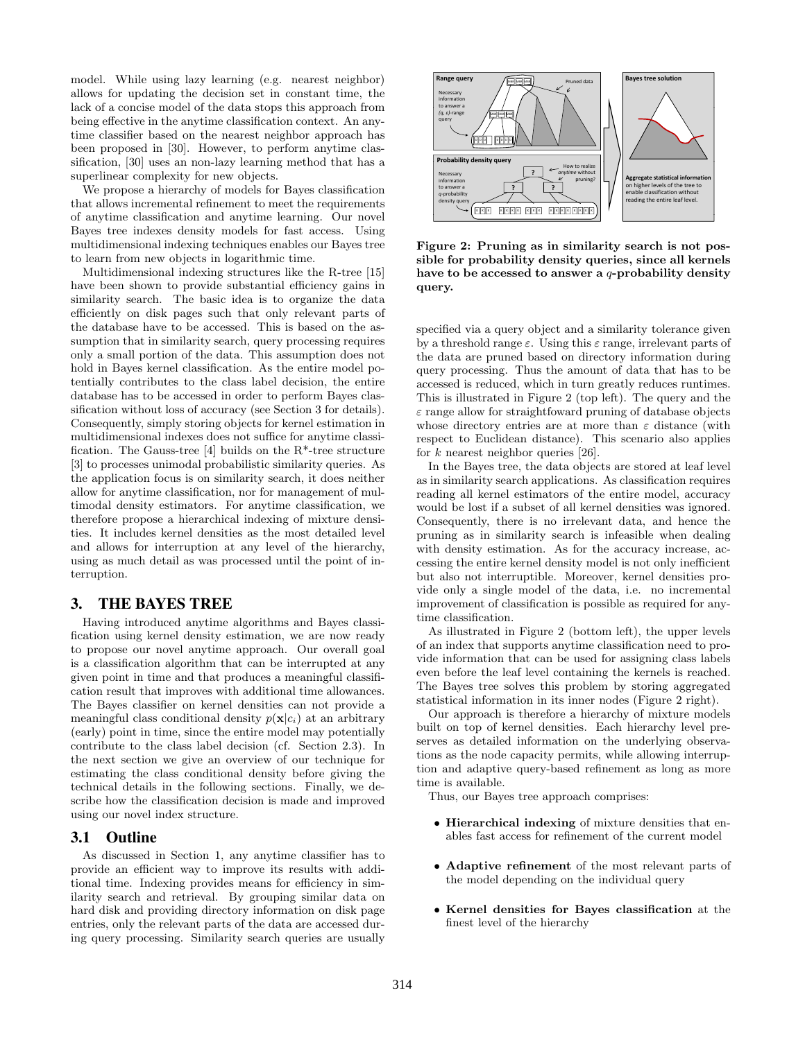model. While using lazy learning (e.g. nearest neighbor) allows for updating the decision set in constant time, the lack of a concise model of the data stops this approach from being effective in the anytime classification context. An anytime classifier based on the nearest neighbor approach has been proposed in [30]. However, to perform anytime classification, [30] uses an non-lazy learning method that has a superlinear complexity for new objects.

We propose a hierarchy of models for Bayes classification that allows incremental refinement to meet the requirements of anytime classification and anytime learning. Our novel Bayes tree indexes density models for fast access. Using multidimensional indexing techniques enables our Bayes tree to learn from new objects in logarithmic time.

Multidimensional indexing structures like the R-tree [15] have been shown to provide substantial efficiency gains in similarity search. The basic idea is to organize the data efficiently on disk pages such that only relevant parts of the database have to be accessed. This is based on the assumption that in similarity search, query processing requires only a small portion of the data. This assumption does not hold in Bayes kernel classification. As the entire model potentially contributes to the class label decision, the entire database has to be accessed in order to perform Bayes classification without loss of accuracy (see Section 3 for details). Consequently, simply storing objects for kernel estimation in multidimensional indexes does not suffice for anytime classification. The Gauss-tree [4] builds on the R\*-tree structure [3] to processes unimodal probabilistic similarity queries. As the application focus is on similarity search, it does neither allow for anytime classification, nor for management of multimodal density estimators. For anytime classification, we therefore propose a hierarchical indexing of mixture densities. It includes kernel densities as the most detailed level and allows for interruption at any level of the hierarchy, using as much detail as was processed until the point of interruption.

# 3. THE BAYES TREE

Having introduced anytime algorithms and Bayes classification using kernel density estimation, we are now ready to propose our novel anytime approach. Our overall goal is a classification algorithm that can be interrupted at any given point in time and that produces a meaningful classification result that improves with additional time allowances. The Bayes classifier on kernel densities can not provide a meaningful class conditional density  $p(\mathbf{x}|c_i)$  at an arbitrary (early) point in time, since the entire model may potentially contribute to the class label decision (cf. Section 2.3). In the next section we give an overview of our technique for estimating the class conditional density before giving the technical details in the following sections. Finally, we describe how the classification decision is made and improved using our novel index structure.

## 3.1 Outline

As discussed in Section 1, any anytime classifier has to provide an efficient way to improve its results with additional time. Indexing provides means for efficiency in similarity search and retrieval. By grouping similar data on hard disk and providing directory information on disk page entries, only the relevant parts of the data are accessed during query processing. Similarity search queries are usually



Figure 2: Pruning as in similarity search is not possible for probability density queries, since all kernels have to be accessed to answer a  $q$ -probability density query.

specified via a query object and a similarity tolerance given by a threshold range  $\varepsilon$ . Using this  $\varepsilon$  range, irrelevant parts of the data are pruned based on directory information during query processing. Thus the amount of data that has to be accessed is reduced, which in turn greatly reduces runtimes. This is illustrated in Figure 2 (top left). The query and the  $\varepsilon$  range allow for straightfoward pruning of database objects whose directory entries are at more than  $\varepsilon$  distance (with respect to Euclidean distance). This scenario also applies for  $k$  nearest neighbor queries [26].

In the Bayes tree, the data objects are stored at leaf level as in similarity search applications. As classification requires reading all kernel estimators of the entire model, accuracy would be lost if a subset of all kernel densities was ignored. Consequently, there is no irrelevant data, and hence the pruning as in similarity search is infeasible when dealing with density estimation. As for the accuracy increase, accessing the entire kernel density model is not only inefficient but also not interruptible. Moreover, kernel densities provide only a single model of the data, i.e. no incremental improvement of classification is possible as required for anytime classification.

As illustrated in Figure 2 (bottom left), the upper levels of an index that supports anytime classification need to provide information that can be used for assigning class labels even before the leaf level containing the kernels is reached. The Bayes tree solves this problem by storing aggregated statistical information in its inner nodes (Figure 2 right).

Our approach is therefore a hierarchy of mixture models built on top of kernel densities. Each hierarchy level preserves as detailed information on the underlying observations as the node capacity permits, while allowing interruption and adaptive query-based refinement as long as more time is available.

Thus, our Bayes tree approach comprises:

- Hierarchical indexing of mixture densities that enables fast access for refinement of the current model
- Adaptive refinement of the most relevant parts of the model depending on the individual query
- Kernel densities for Bayes classification at the finest level of the hierarchy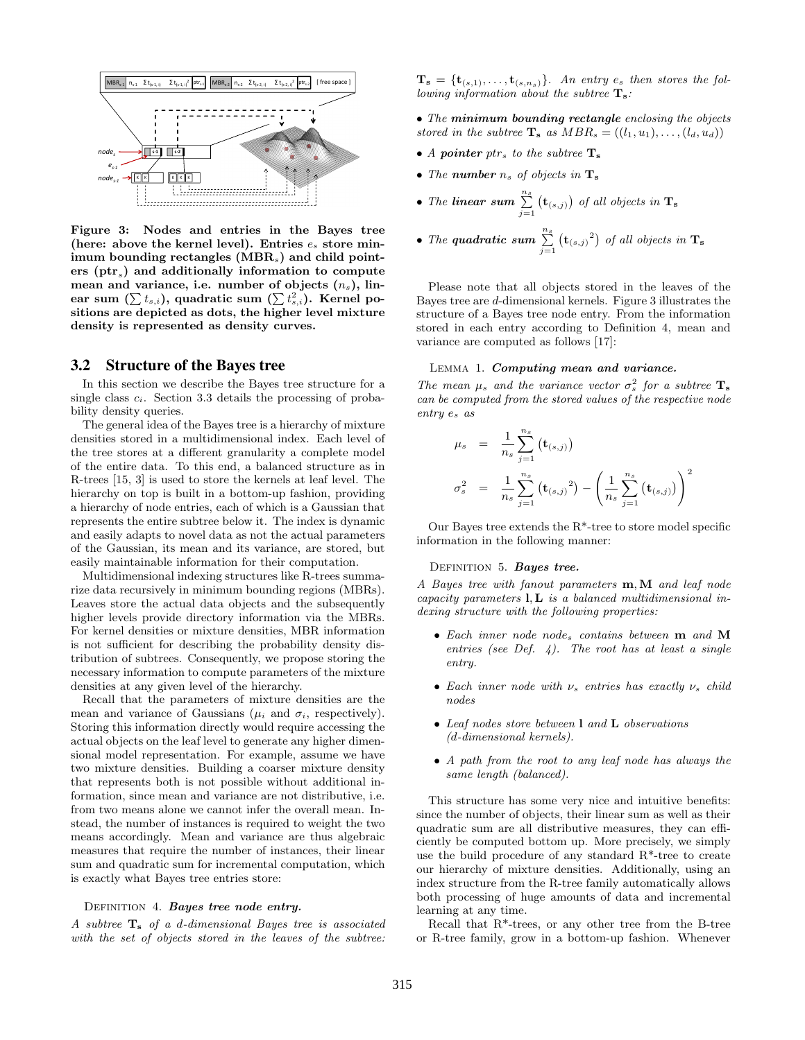

Figure 3: Nodes and entries in the Bayes tree (here: above the kernel level). Entries  $e_s$  store minimum bounding rectangles  $(MBR_s)$  and child point $ers (ptr<sub>s</sub>)$  and additionally information to compute mean and variance, i.e. number of objects  $(n_s)$ , linear sum  $(\sum t_{s,i}),$  quadratic sum  $(\sum t_{s,i}^2).$  Kernel positions are depicted as dots, the higher level mixture density is represented as density curves.

#### 3.2 Structure of the Bayes tree

In this section we describe the Bayes tree structure for a single class  $c_i$ . Section 3.3 details the processing of probability density queries.

The general idea of the Bayes tree is a hierarchy of mixture densities stored in a multidimensional index. Each level of the tree stores at a different granularity a complete model of the entire data. To this end, a balanced structure as in R-trees [15, 3] is used to store the kernels at leaf level. The hierarchy on top is built in a bottom-up fashion, providing a hierarchy of node entries, each of which is a Gaussian that represents the entire subtree below it. The index is dynamic and easily adapts to novel data as not the actual parameters of the Gaussian, its mean and its variance, are stored, but easily maintainable information for their computation.

Multidimensional indexing structures like R-trees summarize data recursively in minimum bounding regions (MBRs). Leaves store the actual data objects and the subsequently higher levels provide directory information via the MBRs. For kernel densities or mixture densities, MBR information is not sufficient for describing the probability density distribution of subtrees. Consequently, we propose storing the necessary information to compute parameters of the mixture densities at any given level of the hierarchy.

Recall that the parameters of mixture densities are the mean and variance of Gaussians ( $\mu_i$  and  $\sigma_i$ , respectively). Storing this information directly would require accessing the actual objects on the leaf level to generate any higher dimensional model representation. For example, assume we have two mixture densities. Building a coarser mixture density that represents both is not possible without additional information, since mean and variance are not distributive, i.e. from two means alone we cannot infer the overall mean. Instead, the number of instances is required to weight the two means accordingly. Mean and variance are thus algebraic measures that require the number of instances, their linear sum and quadratic sum for incremental computation, which is exactly what Bayes tree entries store:

#### DEFINITION 4. Bayes tree node entry.

A subtree  $T_s$  of a d-dimensional Bayes tree is associated with the set of objects stored in the leaves of the subtree:

 $\mathbf{T_s} = {\mathbf{t}_{(s,1)}, \ldots, \mathbf{t}_{(s,n_s)}}$ . An entry  $e_s$  then stores the following information about the subtree  $T_s$ .

- The minimum bounding rectangle enclosing the objects stored in the subtree  $\mathbf{T_s}$  as  $MBR_s = ((l_1, u_1), \ldots, (l_d, u_d))$
- A pointer ptr<sub>s</sub> to the subtree  $T_s$
- The number  $n_s$  of objects in  $\mathbf{T_s}$
- The linear sum  $\sum_{j=1}^{n_s} (\mathbf{t}_{(s,j)})$  of all objects in  $\mathbf{T_s}$
- The quadratic sum  $\sum_{j=1}^{n_s} (\mathbf{t}_{(s,j)}^2)$  of all objects in  $\mathbf{T_s}$

Please note that all objects stored in the leaves of the Bayes tree are d-dimensional kernels. Figure 3 illustrates the structure of a Bayes tree node entry. From the information stored in each entry according to Definition 4, mean and variance are computed as follows [17]:

#### LEMMA 1. Computing mean and variance.

The mean  $\mu_s$  and the variance vector  $\sigma_s^2$  for a subtree  $\mathbf{T_s}$ can be computed from the stored values of the respective node entry e<sup>s</sup> as

$$
\mu_s = \frac{1}{n_s} \sum_{j=1}^{n_s} (\mathbf{t}_{(s,j)})
$$

$$
\sigma_s^2 = \frac{1}{n_s} \sum_{j=1}^{n_s} (\mathbf{t}_{(s,j)}^2) - \left(\frac{1}{n_s} \sum_{j=1}^{n_s} (\mathbf{t}_{(s,j)})\right)^2
$$

Our Bayes tree extends the  $R^*$ -tree to store model specific information in the following manner:

#### DEFINITION 5. Bayes tree.

A Bayes tree with fanout parameters m,M and leaf node capacity parameters  $\mathbf{l}, \mathbf{L}$  is a balanced multidimensional indexing structure with the following properties:

- Each inner node node<sup>s</sup> contains between m and M entries (see Def.  $4$ ). The root has at least a single entry.
- Each inner node with  $\nu_s$  entries has exactly  $\nu_s$  child nodes
- Leaf nodes store between 1 and **L** observations (d-dimensional kernels).
- A path from the root to any leaf node has always the same length (balanced).

This structure has some very nice and intuitive benefits: since the number of objects, their linear sum as well as their quadratic sum are all distributive measures, they can efficiently be computed bottom up. More precisely, we simply use the build procedure of any standard R\*-tree to create our hierarchy of mixture densities. Additionally, using an index structure from the R-tree family automatically allows both processing of huge amounts of data and incremental learning at any time.

Recall that  $R^*$ -trees, or any other tree from the B-tree or R-tree family, grow in a bottom-up fashion. Whenever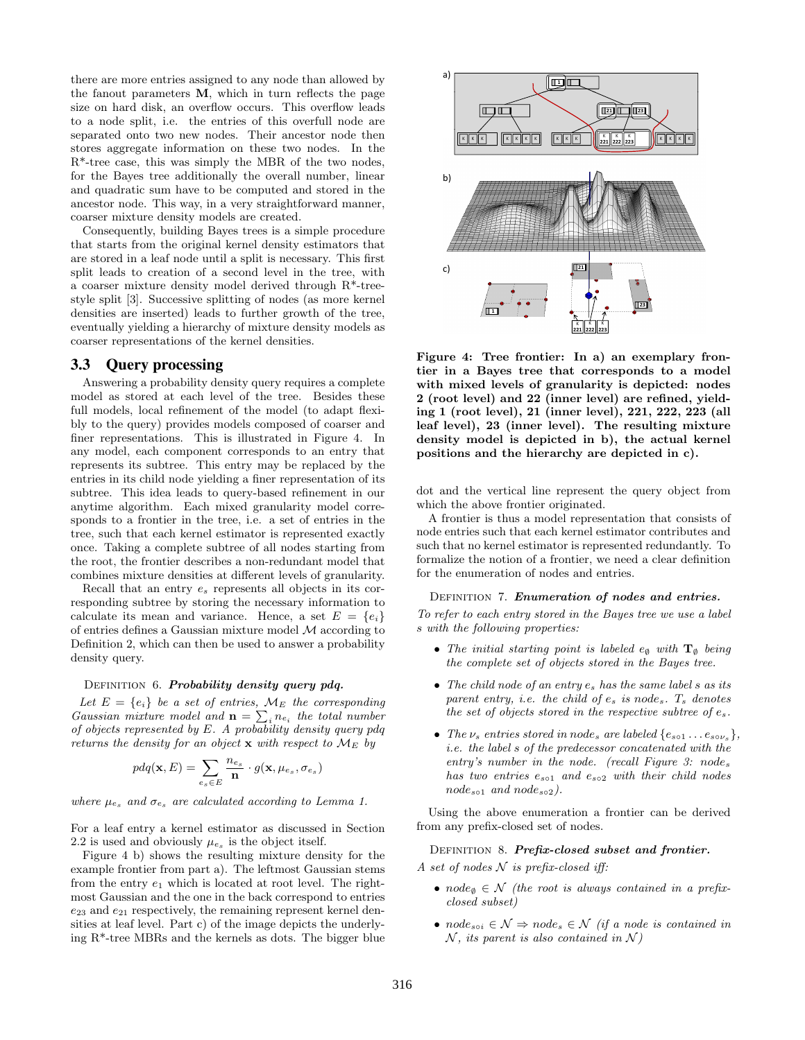there are more entries assigned to any node than allowed by the fanout parameters  $M$ , which in turn reflects the page size on hard disk, an overflow occurs. This overflow leads to a node split, i.e. the entries of this overfull node are separated onto two new nodes. Their ancestor node then stores aggregate information on these two nodes. In the R\*-tree case, this was simply the MBR of the two nodes, for the Bayes tree additionally the overall number, linear and quadratic sum have to be computed and stored in the ancestor node. This way, in a very straightforward manner, coarser mixture density models are created.

Consequently, building Bayes trees is a simple procedure that starts from the original kernel density estimators that are stored in a leaf node until a split is necessary. This first split leads to creation of a second level in the tree, with a coarser mixture density model derived through R\*-treestyle split [3]. Successive splitting of nodes (as more kernel densities are inserted) leads to further growth of the tree, eventually yielding a hierarchy of mixture density models as coarser representations of the kernel densities.

## 3.3 Query processing

Answering a probability density query requires a complete model as stored at each level of the tree. Besides these full models, local refinement of the model (to adapt flexibly to the query) provides models composed of coarser and finer representations. This is illustrated in Figure 4. In any model, each component corresponds to an entry that represents its subtree. This entry may be replaced by the entries in its child node yielding a finer representation of its subtree. This idea leads to query-based refinement in our anytime algorithm. Each mixed granularity model corresponds to a frontier in the tree, i.e. a set of entries in the tree, such that each kernel estimator is represented exactly once. Taking a complete subtree of all nodes starting from the root, the frontier describes a non-redundant model that combines mixture densities at different levels of granularity.

Recall that an entry e<sup>s</sup> represents all objects in its corresponding subtree by storing the necessary information to calculate its mean and variance. Hence, a set  $E = \{e_i\}$ of entries defines a Gaussian mixture model M according to Definition 2, which can then be used to answer a probability density query.

#### DEFINITION 6. Probability density query pdq.

Let  $E = \{e_i\}$  be a set of entries,  $\mathcal{M}_E$  the corresponding Gaussian mixture model and  $\mathbf{n} = \sum_i n_{e_i}$  the total number of objects represented by E. A probability density query pdq returns the density for an object  $x$  with respect to  $\mathcal{M}_E$  by

$$
pdq(\mathbf{x}, E) = \sum_{e_s \in E} \frac{n_{e_s}}{\mathbf{n}} \cdot g(\mathbf{x}, \mu_{e_s}, \sigma_{e_s})
$$

where  $\mu_{e_s}$  and  $\sigma_{e_s}$  are calculated according to Lemma 1.

For a leaf entry a kernel estimator as discussed in Section 2.2 is used and obviously  $\mu_{e_s}$  is the object itself.

Figure 4 b) shows the resulting mixture density for the example frontier from part a). The leftmost Gaussian stems from the entry  $e_1$  which is located at root level. The rightmost Gaussian and the one in the back correspond to entries  $e_{23}$  and  $e_{21}$  respectively, the remaining represent kernel densities at leaf level. Part c) of the image depicts the underlying R\*-tree MBRs and the kernels as dots. The bigger blue



Figure 4: Tree frontier: In a) an exemplary frontier in a Bayes tree that corresponds to a model with mixed levels of granularity is depicted: nodes 2 (root level) and 22 (inner level) are refined, yielding 1 (root level), 21 (inner level), 221, 222, 223 (all leaf level), 23 (inner level). The resulting mixture density model is depicted in b), the actual kernel positions and the hierarchy are depicted in c).

dot and the vertical line represent the query object from which the above frontier originated.

A frontier is thus a model representation that consists of node entries such that each kernel estimator contributes and such that no kernel estimator is represented redundantly. To formalize the notion of a frontier, we need a clear definition for the enumeration of nodes and entries.

# DEFINITION 7. Enumeration of nodes and entries.

To refer to each entry stored in the Bayes tree we use a label s with the following properties:

- The initial starting point is labeled  $e_{\emptyset}$  with  $\mathbf{T}_{\emptyset}$  being the complete set of objects stored in the Bayes tree.
- The child node of an entry  $e_s$  has the same label s as its parent entry, i.e. the child of  $e_s$  is node<sub>s</sub>.  $T_s$  denotes the set of objects stored in the respective subtree of  $e_s$ .
- The  $\nu_s$  entries stored in node, are labeled  $\{e_{s\circ 1} \dots e_{s\circ \nu_s}\},\$ i.e. the label s of the predecessor concatenated with the entry's number in the node. (recall Figure 3: nodes has two entries  $e_{s \circ 1}$  and  $e_{s \circ 2}$  with their child nodes  $node_{s \circ 1}$  and  $node_{s \circ 2}$ ).

Using the above enumeration a frontier can be derived from any prefix-closed set of nodes.

#### DEFINITION 8. Prefix-closed subset and frontier.

A set of nodes  $N$  is prefix-closed iff:

- node<sub> $\emptyset \in \mathcal{N}$  (the root is always contained in a prefix-</sub> closed subset)
- node<sub>soi</sub>  $\in \mathcal{N} \Rightarrow node_s \in \mathcal{N}$  (if a node is contained in  $\mathcal{N}$ , its parent is also contained in  $\mathcal{N}$ )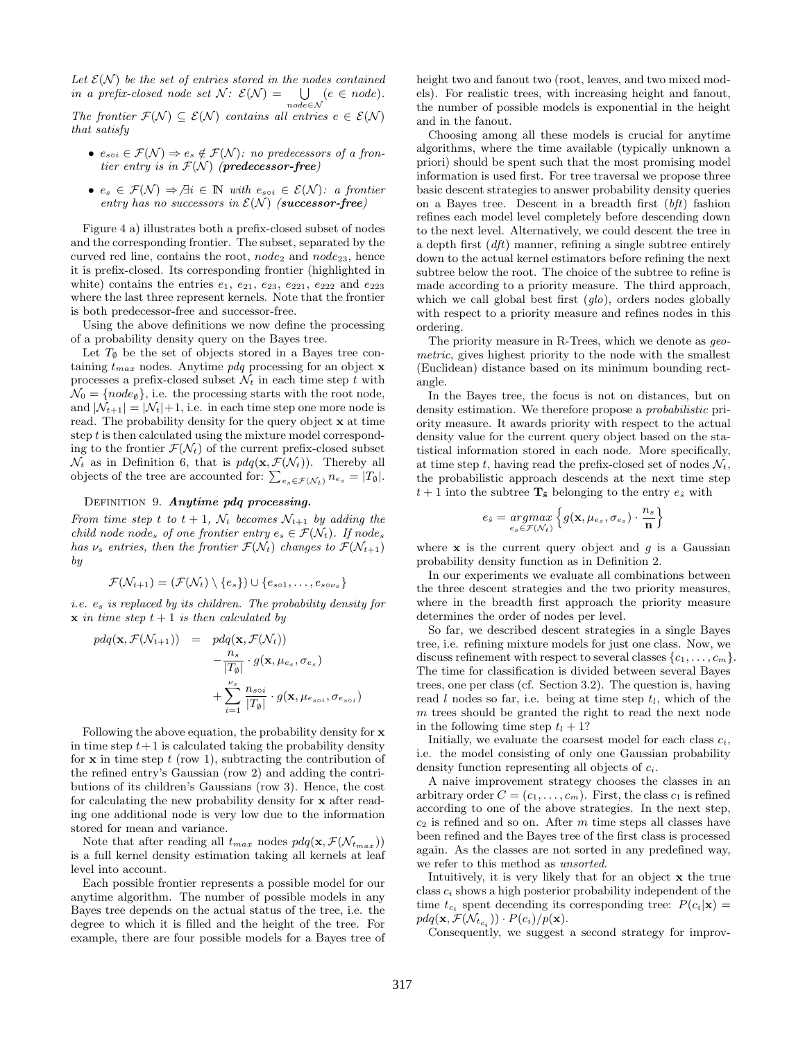Let  $\mathcal{E}(\mathcal{N})$  be the set of entries stored in the nodes contained in a prefix-closed node set  $\mathcal{N}$ :  $\mathcal{E}(\mathcal{N}) = \bigcup_{node \in \mathcal{N}} (e \in node)$ .

The frontier  $\mathcal{F}(\mathcal{N}) \subseteq \mathcal{E}(\mathcal{N})$  contains all entries  $e \in \mathcal{E}(\mathcal{N})$ that satisfy

- $e_{s \circ i} \in \mathcal{F}(\mathcal{N}) \Rightarrow e_s \notin \mathcal{F}(\mathcal{N})$ : no predecessors of a frontier entry is in  $\mathcal{F}(\mathcal{N})$  (predecessor-free)
- $e_s \in \mathcal{F}(\mathcal{N}) \Rightarrow \exists i \in \mathbb{N}$  with  $e_{s \circ i} \in \mathcal{E}(\mathcal{N})$ : a frontier entry has no successors in  $\mathcal{E}(\mathcal{N})$  (successor-free)

Figure 4 a) illustrates both a prefix-closed subset of nodes and the corresponding frontier. The subset, separated by the curved red line, contains the root,  $node_2$  and  $node_{23}$ , hence it is prefix-closed. Its corresponding frontier (highlighted in white) contains the entries  $e_1, e_{21}, e_{23}, e_{221}, e_{222}$  and  $e_{223}$ where the last three represent kernels. Note that the frontier is both predecessor-free and successor-free.

Using the above definitions we now define the processing of a probability density query on the Bayes tree.

Let  $T_{\emptyset}$  be the set of objects stored in a Bayes tree containing  $t_{max}$  nodes. Anytime pdq processing for an object **x** processes a prefix-closed subset  $\mathcal{N}_t$  in each time step t with  $\mathcal{N}_0 = \{node_{\emptyset}\}\$ , i.e. the processing starts with the root node, and  $|\mathcal{N}_{t+1}| = |\mathcal{N}_t| + 1$ , i.e. in each time step one more node is read. The probability density for the query object x at time step t is then calculated using the mixture model corresponding to the frontier  $\mathcal{F}(\mathcal{N}_t)$  of the current prefix-closed subset  $\mathcal{N}_t$  as in Definition 6, that is  $pdq(\mathbf{x}, \mathcal{F}(\mathcal{N}_t))$ . Thereby all objects of the tree are accounted for:  $\sum_{e_s \in \mathcal{F}(\mathcal{N}_t)} n_{e_s} = |T_\emptyset|$ .

#### DEFINITION 9. Anytime pdq processing.

From time step t to  $t + 1$ ,  $\mathcal{N}_t$  becomes  $\mathcal{N}_{t+1}$  by adding the child node nodes of one frontier entry  $e_s \in \mathcal{F}(\mathcal{N}_t)$ . If nodes has  $\nu_s$  entries, then the frontier  $\mathcal{F}(\mathcal{N}_t)$  changes to  $\mathcal{F}(\mathcal{N}_{t+1})$ by

$$
\mathcal{F}(\mathcal{N}_{t+1}) = (\mathcal{F}(\mathcal{N}_t) \setminus \{e_s\}) \cup \{e_{s01}, \ldots, e_{s0\nu_s}\}\
$$

*i.e.*  $e_s$  *is replaced by its children. The probability density for*  $\bf{x}$  in time step  $t+1$  is then calculated by

$$
pdq(\mathbf{x}, \mathcal{F}(\mathcal{N}_{t+1})) = pdq(\mathbf{x}, \mathcal{F}(\mathcal{N}_{t}))
$$
  

$$
-\frac{n_s}{|T_{\emptyset}|} \cdot g(\mathbf{x}, \mu_{e_s}, \sigma_{e_s})
$$
  

$$
+\sum_{i=1}^{\nu_s} \frac{n_{soi}}{|T_{\emptyset}|} \cdot g(\mathbf{x}, \mu_{e_{soi}}, \sigma_{e_{soi}})
$$

Following the above equation, the probability density for x in time step  $t+1$  is calculated taking the probability density for  $x$  in time step  $t$  (row 1), subtracting the contribution of the refined entry's Gaussian (row 2) and adding the contributions of its children's Gaussians (row 3). Hence, the cost for calculating the new probability density for x after reading one additional node is very low due to the information stored for mean and variance.

Note that after reading all  $t_{max}$  nodes  $pdq(\mathbf{x}, \mathcal{F}(\mathcal{N}_{t_{max}}))$ is a full kernel density estimation taking all kernels at leaf level into account.

Each possible frontier represents a possible model for our anytime algorithm. The number of possible models in any Bayes tree depends on the actual status of the tree, i.e. the degree to which it is filled and the height of the tree. For example, there are four possible models for a Bayes tree of height two and fanout two (root, leaves, and two mixed models). For realistic trees, with increasing height and fanout, the number of possible models is exponential in the height and in the fanout.

Choosing among all these models is crucial for anytime algorithms, where the time available (typically unknown a priori) should be spent such that the most promising model information is used first. For tree traversal we propose three basic descent strategies to answer probability density queries on a Bayes tree. Descent in a breadth first  $(bft)$  fashion refines each model level completely before descending down to the next level. Alternatively, we could descent the tree in a depth first  $(dft)$  manner, refining a single subtree entirely down to the actual kernel estimators before refining the next subtree below the root. The choice of the subtree to refine is made according to a priority measure. The third approach, which we call global best first  $(glo)$ , orders nodes globally with respect to a priority measure and refines nodes in this ordering.

The priority measure in R-Trees, which we denote as geometric, gives highest priority to the node with the smallest (Euclidean) distance based on its minimum bounding rectangle.

In the Bayes tree, the focus is not on distances, but on density estimation. We therefore propose a probabilistic priority measure. It awards priority with respect to the actual density value for the current query object based on the statistical information stored in each node. More specifically, at time step t, having read the prefix-closed set of nodes  $\mathcal{N}_t$ , the probabilistic approach descends at the next time step  $t+1$  into the subtree  $\mathbf{T}_\mathbf{\hat{s}}$  belonging to the entry  $e_{\hat{s}}$  with

$$
e_{\hat{s}} = \underset{e_s \in \mathcal{F}(\mathcal{N}_t)}{\operatorname{argmax}} \left\{ g(\mathbf{x}, \mu_{e_s}, \sigma_{e_s}) \cdot \frac{n_s}{\mathbf{n}} \right\}
$$

where  $x$  is the current query object and  $q$  is a Gaussian probability density function as in Definition 2.

In our experiments we evaluate all combinations between the three descent strategies and the two priority measures, where in the breadth first approach the priority measure determines the order of nodes per level.

So far, we described descent strategies in a single Bayes tree, i.e. refining mixture models for just one class. Now, we discuss refinement with respect to several classes  $\{c_1, \ldots, c_m\}$ . The time for classification is divided between several Bayes trees, one per class (cf. Section 3.2). The question is, having read l nodes so far, i.e. being at time step  $t<sub>l</sub>$ , which of the m trees should be granted the right to read the next node in the following time step  $t_l + 1$ ?

Initially, we evaluate the coarsest model for each class  $c_i$ , i.e. the model consisting of only one Gaussian probability density function representing all objects of  $c_i$ .

A naive improvement strategy chooses the classes in an arbitrary order  $C = (c_1, \ldots, c_m)$ . First, the class  $c_1$  is refined according to one of the above strategies. In the next step,  $c_2$  is refined and so on. After m time steps all classes have been refined and the Bayes tree of the first class is processed again. As the classes are not sorted in any predefined way, we refer to this method as unsorted.

Intuitively, it is very likely that for an object x the true class  $c_i$  shows a high posterior probability independent of the time  $t_{c_i}$  spent decending its corresponding tree:  $P(c_i|\mathbf{x}) =$  $pdq(\mathbf{x}, \mathcal{F}(\mathcal{N}_{t_{c_i}})) \cdot P(c_i)/p(\mathbf{x}).$ 

Consequently, we suggest a second strategy for improv-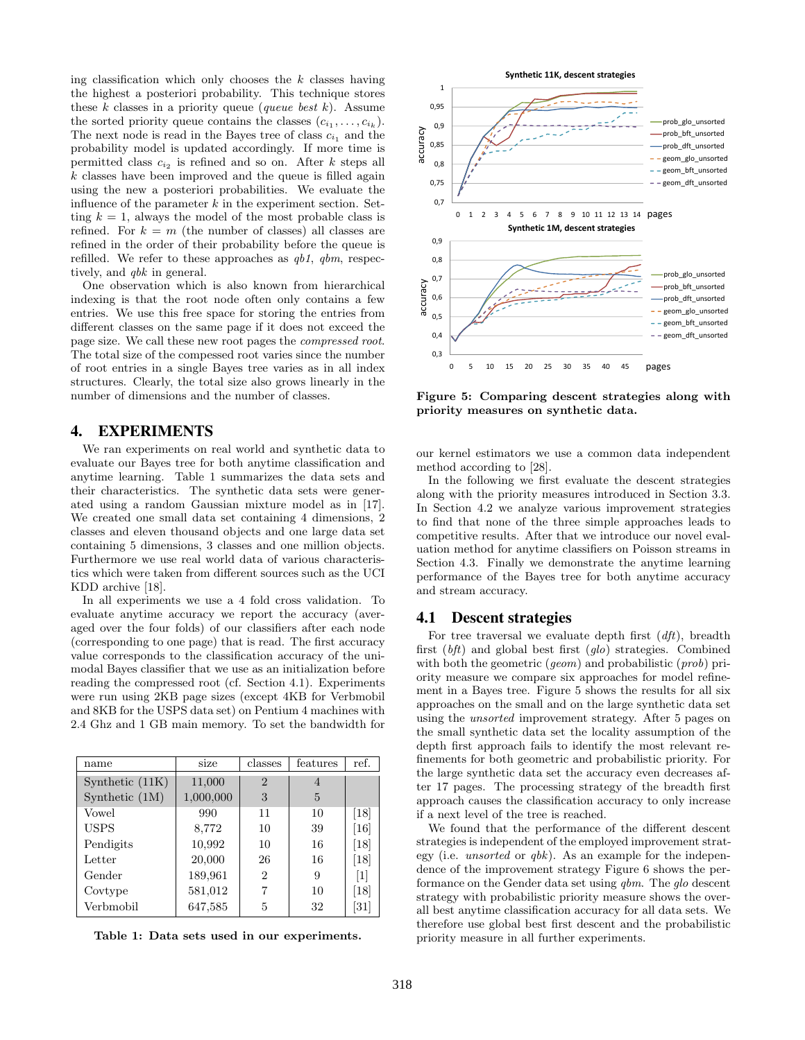ing classification which only chooses the  $k$  classes having the highest a posteriori probability. This technique stores these k classes in a priority queue (queue best k). Assume the sorted priority queue contains the classes  $(c_{i_1}, \ldots, c_{i_k})$ . The next node is read in the Bayes tree of class  $c_{i_1}$  and the probability model is updated accordingly. If more time is permitted class  $c_{i_2}$  is refined and so on. After k steps all k classes have been improved and the queue is filled again using the new a posteriori probabilities. We evaluate the influence of the parameter  $k$  in the experiment section. Setting  $k = 1$ , always the model of the most probable class is refined. For  $k = m$  (the number of classes) all classes are refined in the order of their probability before the queue is refilled. We refer to these approaches as  $q b1$ ,  $q b m$ , respectively, and *qbk* in general.

One observation which is also known from hierarchical indexing is that the root node often only contains a few entries. We use this free space for storing the entries from different classes on the same page if it does not exceed the page size. We call these new root pages the compressed root. The total size of the compessed root varies since the number of root entries in a single Bayes tree varies as in all index structures. Clearly, the total size also grows linearly in the number of dimensions and the number of classes.

## 4. EXPERIMENTS

We ran experiments on real world and synthetic data to evaluate our Bayes tree for both anytime classification and anytime learning. Table 1 summarizes the data sets and their characteristics. The synthetic data sets were generated using a random Gaussian mixture model as in [17]. We created one small data set containing 4 dimensions, 2 classes and eleven thousand objects and one large data set containing 5 dimensions, 3 classes and one million objects. Furthermore we use real world data of various characteristics which were taken from different sources such as the UCI KDD archive [18].

In all experiments we use a 4 fold cross validation. To evaluate anytime accuracy we report the accuracy (averaged over the four folds) of our classifiers after each node (corresponding to one page) that is read. The first accuracy value corresponds to the classification accuracy of the unimodal Bayes classifier that we use as an initialization before reading the compressed root (cf. Section 4.1). Experiments were run using 2KB page sizes (except 4KB for Verbmobil and 8KB for the USPS data set) on Pentium 4 machines with 2.4 Ghz and 1 GB main memory. To set the bandwidth for

| name              | size      | classes        | features | ref.  |
|-------------------|-----------|----------------|----------|-------|
| Synthetic $(11K)$ | 11,000    | $\overline{2}$ | 4        |       |
| Synthetic $(1M)$  | 1,000,000 | 3              | 5        |       |
| Vowel             | 990       | 11             | 10       | [18]  |
| USPS              | 8,772     | 10             | 39       | [16]  |
| Pendigits         | 10,992    | 10             | 16       | [18]  |
| Letter            | 20,000    | 26             | 16       | [18]  |
| Gender            | 189,961   | $\overline{2}$ | 9        | $[1]$ |
| Covtype           | 581,012   |                | 10       | [18]  |
| Verbmobil         | 647,585   | 5              | 32       | [31]  |

Table 1: Data sets used in our experiments.



Figure 5: Comparing descent strategies along with priority measures on synthetic data.

our kernel estimators we use a common data independent method according to [28].

In the following we first evaluate the descent strategies along with the priority measures introduced in Section 3.3. In Section 4.2 we analyze various improvement strategies to find that none of the three simple approaches leads to competitive results. After that we introduce our novel evaluation method for anytime classifiers on Poisson streams in Section 4.3. Finally we demonstrate the anytime learning performance of the Bayes tree for both anytime accuracy and stream accuracy.

#### 4.1 Descent strategies

For tree traversal we evaluate depth first  $(dft)$ , breadth first  $(bft)$  and global best first  $(glo)$  strategies. Combined with both the geometric (geom) and probabilistic (prob) priority measure we compare six approaches for model refinement in a Bayes tree. Figure 5 shows the results for all six approaches on the small and on the large synthetic data set using the unsorted improvement strategy. After 5 pages on the small synthetic data set the locality assumption of the depth first approach fails to identify the most relevant refinements for both geometric and probabilistic priority. For the large synthetic data set the accuracy even decreases after 17 pages. The processing strategy of the breadth first approach causes the classification accuracy to only increase if a next level of the tree is reached.

We found that the performance of the different descent strategies is independent of the employed improvement strategy (i.e. *unsorted* or  $qbk$ ). As an example for the independence of the improvement strategy Figure 6 shows the performance on the Gender data set using qbm. The glo descent strategy with probabilistic priority measure shows the overall best anytime classification accuracy for all data sets. We therefore use global best first descent and the probabilistic priority measure in all further experiments.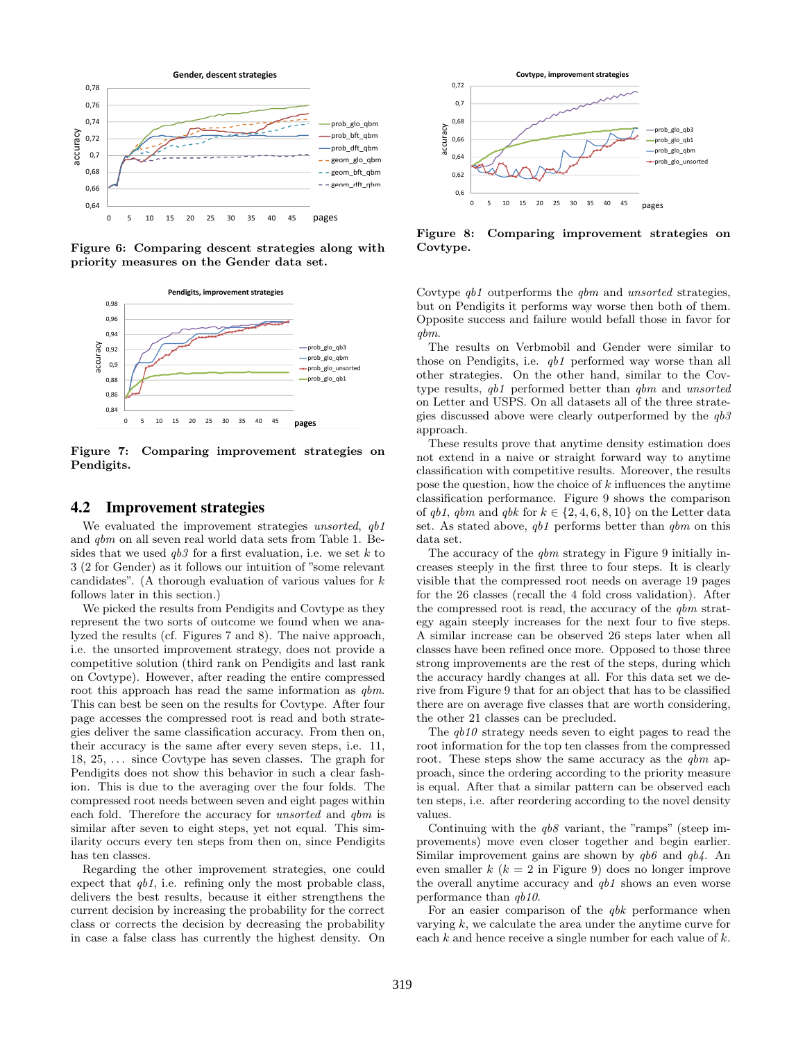

Figure 6: Comparing descent strategies along with priority measures on the Gender data set.



Figure 7: Comparing improvement strategies on Pendigits.

#### 4.2 Improvement strategies

We evaluated the improvement strategies unsorted,  $q b1$ and qbm on all seven real world data sets from Table 1. Besides that we used  $q\bar{b}3$  for a first evaluation, i.e. we set k to 3 (2 for Gender) as it follows our intuition of "some relevant candidates". (A thorough evaluation of various values for k follows later in this section.)

We picked the results from Pendigits and Covtype as they represent the two sorts of outcome we found when we analyzed the results (cf. Figures 7 and 8). The naive approach, i.e. the unsorted improvement strategy, does not provide a competitive solution (third rank on Pendigits and last rank on Covtype). However, after reading the entire compressed root this approach has read the same information as  $q_{m}$ . This can best be seen on the results for Covtype. After four page accesses the compressed root is read and both strategies deliver the same classification accuracy. From then on, their accuracy is the same after every seven steps, i.e. 11, 18, 25, . . . since Covtype has seven classes. The graph for Pendigits does not show this behavior in such a clear fashion. This is due to the averaging over the four folds. The compressed root needs between seven and eight pages within each fold. Therefore the accuracy for *unsorted* and *qbm* is similar after seven to eight steps, yet not equal. This similarity occurs every ten steps from then on, since Pendigits has ten classes.

Regarding the other improvement strategies, one could expect that  $q b1$ , i.e. refining only the most probable class, delivers the best results, because it either strengthens the current decision by increasing the probability for the correct class or corrects the decision by decreasing the probability in case a false class has currently the highest density. On



Figure 8: Comparing improvement strategies on Covtype.

Covtype qb1 outperforms the qbm and unsorted strategies, but on Pendigits it performs way worse then both of them. Opposite success and failure would befall those in favor for qbm.

The results on Verbmobil and Gender were similar to those on Pendigits, i.e. qb1 performed way worse than all other strategies. On the other hand, similar to the Covtype results, qb1 performed better than qbm and unsorted on Letter and USPS. On all datasets all of the three strategies discussed above were clearly outperformed by the  $q\bar{b}3$ approach.

These results prove that anytime density estimation does not extend in a naive or straight forward way to anytime classification with competitive results. Moreover, the results pose the question, how the choice of  $k$  influences the anytime classification performance. Figure 9 shows the comparison of qb1, qbm and qbk for  $k \in \{2, 4, 6, 8, 10\}$  on the Letter data set. As stated above,  $q b1$  performs better than  $q b m$  on this data set.

The accuracy of the *qbm* strategy in Figure 9 initially increases steeply in the first three to four steps. It is clearly visible that the compressed root needs on average 19 pages for the 26 classes (recall the 4 fold cross validation). After the compressed root is read, the accuracy of the *qbm* strategy again steeply increases for the next four to five steps. A similar increase can be observed 26 steps later when all classes have been refined once more. Opposed to those three strong improvements are the rest of the steps, during which the accuracy hardly changes at all. For this data set we derive from Figure 9 that for an object that has to be classified there are on average five classes that are worth considering, the other 21 classes can be precluded.

The  $qb10$  strategy needs seven to eight pages to read the root information for the top ten classes from the compressed root. These steps show the same accuracy as the *qbm* approach, since the ordering according to the priority measure is equal. After that a similar pattern can be observed each ten steps, i.e. after reordering according to the novel density values.

Continuing with the  $q\bar{b}8$  variant, the "ramps" (steep improvements) move even closer together and begin earlier. Similar improvement gains are shown by  $q b \delta$  and  $q b \dot{4}$ . An even smaller  $k$  ( $k = 2$  in Figure 9) does no longer improve the overall anytime accuracy and  $q b1$  shows an even worse performance than qb10.

For an easier comparison of the  $qbk$  performance when varying  $k$ , we calculate the area under the anytime curve for each  $k$  and hence receive a single number for each value of  $k$ .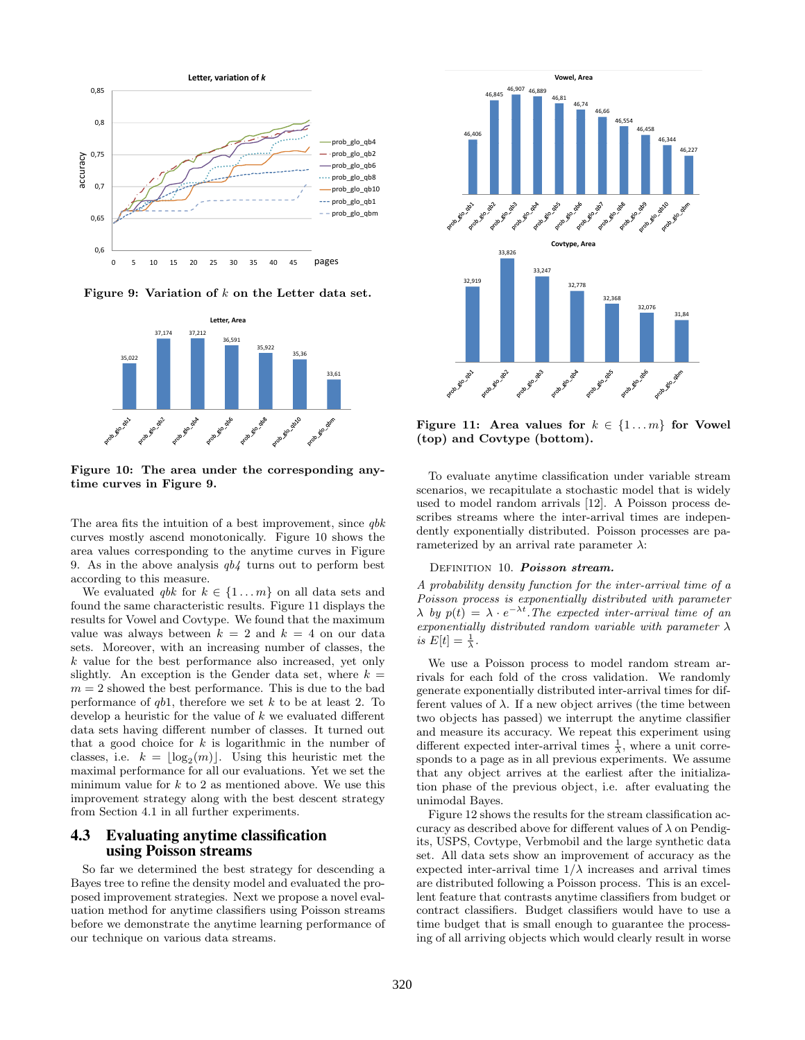

Figure 9: Variation of  $k$  on the Letter data set.



Figure 10: The area under the corresponding anytime curves in Figure 9.

The area fits the intuition of a best improvement, since  $q_{jk}$ curves mostly ascend monotonically. Figure 10 shows the area values corresponding to the anytime curves in Figure 9. As in the above analysis  $q b4$  turns out to perform best according to this measure.

We evaluated qbk for  $k \in \{1...m\}$  on all data sets and found the same characteristic results. Figure 11 displays the results for Vowel and Covtype. We found that the maximum value was always between  $k = 2$  and  $k = 4$  on our data sets. Moreover, with an increasing number of classes, the k value for the best performance also increased, yet only slightly. An exception is the Gender data set, where  $k =$  $m = 2$  showed the best performance. This is due to the bad performance of  $q b1$ , therefore we set k to be at least 2. To develop a heuristic for the value of  $k$  we evaluated different data sets having different number of classes. It turned out that a good choice for  $k$  is logarithmic in the number of classes, i.e.  $k = \lfloor \log_2(m) \rfloor$ . Using this heuristic met the maximal performance for all our evaluations. Yet we set the minimum value for  $k$  to 2 as mentioned above. We use this improvement strategy along with the best descent strategy from Section 4.1 in all further experiments.

## 4.3 Evaluating anytime classification using Poisson streams

So far we determined the best strategy for descending a Bayes tree to refine the density model and evaluated the proposed improvement strategies. Next we propose a novel evaluation method for anytime classifiers using Poisson streams before we demonstrate the anytime learning performance of our technique on various data streams.



Figure 11: Area values for  $k \in \{1...m\}$  for Vowel (top) and Covtype (bottom).

To evaluate anytime classification under variable stream scenarios, we recapitulate a stochastic model that is widely used to model random arrivals [12]. A Poisson process describes streams where the inter-arrival times are independently exponentially distributed. Poisson processes are parameterized by an arrival rate parameter  $\lambda$ :

#### DEFINITION 10. Poisson stream.

A probability density function for the inter-arrival time of a Poisson process is exponentially distributed with parameter  $\lambda$  by  $p(t) = \lambda \cdot e^{-\lambda t}$ . The expected inter-arrival time of an exponentially distributed random variable with parameter  $\lambda$ is  $E[t] = \frac{1}{\lambda}$ .

We use a Poisson process to model random stream arrivals for each fold of the cross validation. We randomly generate exponentially distributed inter-arrival times for different values of  $\lambda$ . If a new object arrives (the time between two objects has passed) we interrupt the anytime classifier and measure its accuracy. We repeat this experiment using different expected inter-arrival times  $\frac{1}{\lambda}$ , where a unit corresponds to a page as in all previous experiments. We assume that any object arrives at the earliest after the initialization phase of the previous object, i.e. after evaluating the unimodal Bayes.

Figure 12 shows the results for the stream classification accuracy as described above for different values of  $\lambda$  on Pendigits, USPS, Covtype, Verbmobil and the large synthetic data set. All data sets show an improvement of accuracy as the expected inter-arrival time  $1/\lambda$  increases and arrival times are distributed following a Poisson process. This is an excellent feature that contrasts anytime classifiers from budget or contract classifiers. Budget classifiers would have to use a time budget that is small enough to guarantee the processing of all arriving objects which would clearly result in worse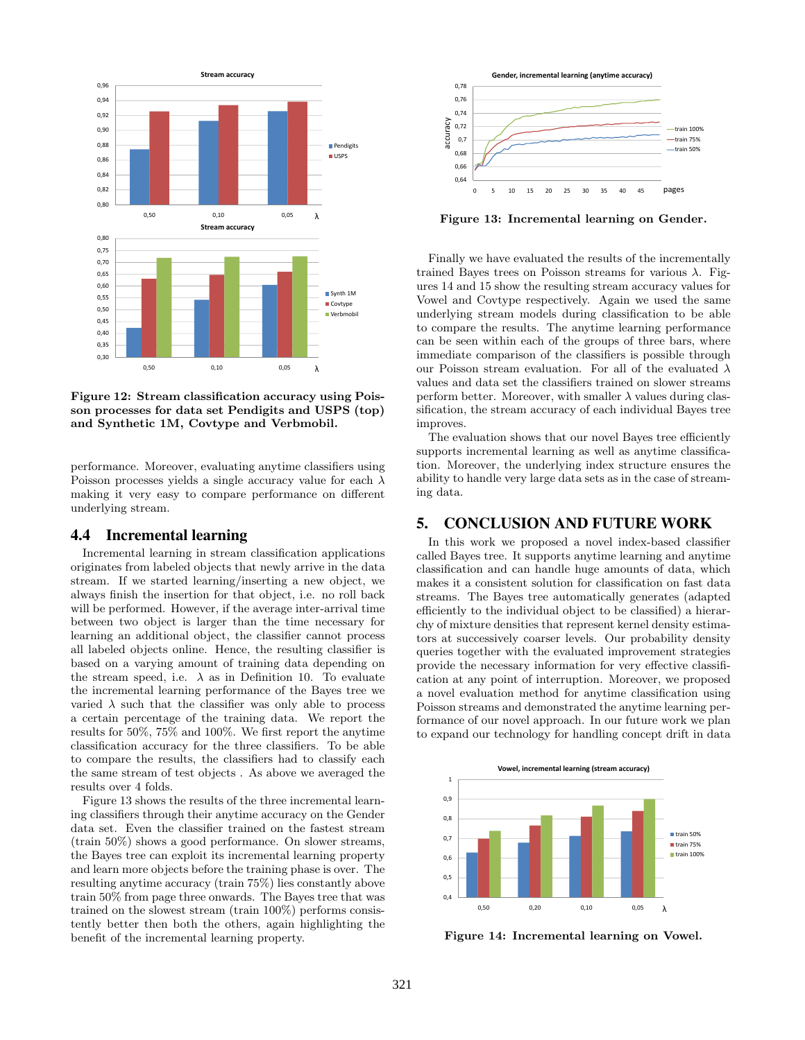

Figure 12: Stream classification accuracy using Poisson processes for data set Pendigits and USPS (top) and Synthetic 1M, Covtype and Verbmobil.

performance. Moreover, evaluating anytime classifiers using Poisson processes yields a single accuracy value for each  $\lambda$ making it very easy to compare performance on different underlying stream.

## 4.4 Incremental learning

Incremental learning in stream classification applications originates from labeled objects that newly arrive in the data stream. If we started learning/inserting a new object, we always finish the insertion for that object, i.e. no roll back will be performed. However, if the average inter-arrival time between two object is larger than the time necessary for learning an additional object, the classifier cannot process all labeled objects online. Hence, the resulting classifier is based on a varying amount of training data depending on the stream speed, i.e.  $\lambda$  as in Definition 10. To evaluate the incremental learning performance of the Bayes tree we varied  $\lambda$  such that the classifier was only able to process a certain percentage of the training data. We report the results for 50%, 75% and 100%. We first report the anytime classification accuracy for the three classifiers. To be able to compare the results, the classifiers had to classify each the same stream of test objects . As above we averaged the results over 4 folds.

Figure 13 shows the results of the three incremental learning classifiers through their anytime accuracy on the Gender data set. Even the classifier trained on the fastest stream (train 50%) shows a good performance. On slower streams, the Bayes tree can exploit its incremental learning property and learn more objects before the training phase is over. The resulting anytime accuracy (train 75%) lies constantly above train 50% from page three onwards. The Bayes tree that was trained on the slowest stream (train 100%) performs consistently better then both the others, again highlighting the benefit of the incremental learning property.



Figure 13: Incremental learning on Gender.

Finally we have evaluated the results of the incrementally trained Bayes trees on Poisson streams for various  $\lambda$ . Figures 14 and 15 show the resulting stream accuracy values for Vowel and Covtype respectively. Again we used the same underlying stream models during classification to be able to compare the results. The anytime learning performance can be seen within each of the groups of three bars, where immediate comparison of the classifiers is possible through our Poisson stream evaluation. For all of the evaluated  $\lambda$ values and data set the classifiers trained on slower streams perform better. Moreover, with smaller  $\lambda$  values during classification, the stream accuracy of each individual Bayes tree improves.

The evaluation shows that our novel Bayes tree efficiently supports incremental learning as well as anytime classification. Moreover, the underlying index structure ensures the ability to handle very large data sets as in the case of streaming data.

## 5. CONCLUSION AND FUTURE WORK

In this work we proposed a novel index-based classifier called Bayes tree. It supports anytime learning and anytime classification and can handle huge amounts of data, which makes it a consistent solution for classification on fast data streams. The Bayes tree automatically generates (adapted efficiently to the individual object to be classified) a hierarchy of mixture densities that represent kernel density estimators at successively coarser levels. Our probability density queries together with the evaluated improvement strategies provide the necessary information for very effective classification at any point of interruption. Moreover, we proposed a novel evaluation method for anytime classification using Poisson streams and demonstrated the anytime learning performance of our novel approach. In our future work we plan to expand our technology for handling concept drift in data



Figure 14: Incremental learning on Vowel.